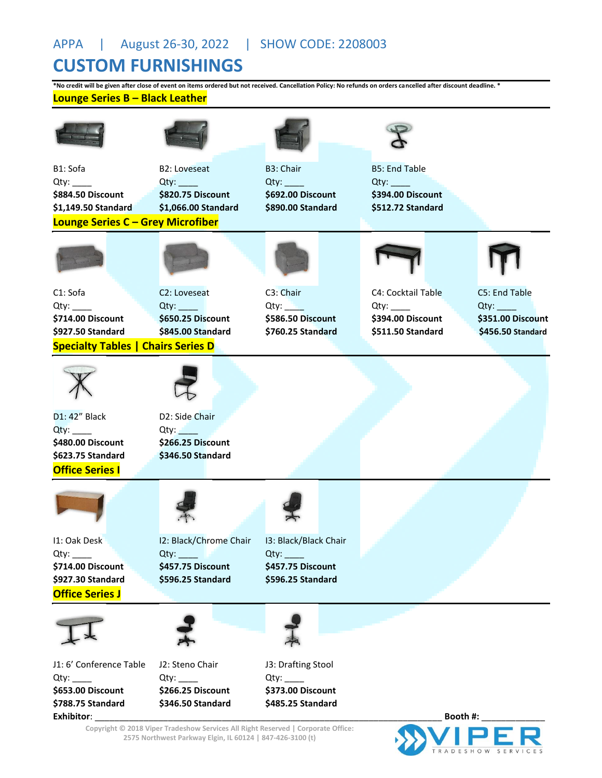### **QUICK REFERENCE Mark Your Calendar!**

| <b>Friday, August 5</b><br><b>FIRST DAY ADVANCE WAREHOUSE RECEIVING</b><br>The advance warehouse will begin accepting freight on this date. |                                                                                                                                                                                                                                              |
|---------------------------------------------------------------------------------------------------------------------------------------------|----------------------------------------------------------------------------------------------------------------------------------------------------------------------------------------------------------------------------------------------|
|                                                                                                                                             | Warehouse receiving is M-F 8:00 AM $-$ 4:00 PM.                                                                                                                                                                                              |
| Friday, August 12                                                                                                                           | <b>ADVANCE ORDER DISCOUNT DEADLINE</b><br>Forms must be received by Viper with Full Payment and artwork for modular rentals is<br>due. This is also the deadline for cancellations. No refunds or discounts are provided<br>after this date. |
| Friday, August 19                                                                                                                           | <b>LATE TO WAREHOUSE</b><br>Advance Warehouse must receive your freight by EOD on 8/19/22 to avoid late charges.                                                                                                                             |
| Friday, August 26                                                                                                                           | LAST DAY OF ADVANCE WAREHOUSE RECEIVING<br>Last day Advance Warehouse will accept exhibit material. (You will be charged a late fee<br>but your freight will be in your booth at the start of exhibitor move-in!)                            |
| Sunday, August 28<br>$9:00am - 5:30pm$                                                                                                      | SHOW SITE DELIVERIES   9am - 5:30pm @ Hilton Chicago<br>ALL show site shipments are to be delivered this day only. Shipments sent before this<br>date are at risk of being refused, or additional charges by venue and Viper may apply.      |

### **Your Show Outline**

| Move-In/Installation | Sunday, August 28  | $9:00am - 5:30pm$                 |  |
|----------------------|--------------------|-----------------------------------|--|
| <b>Exhibit Hours</b> | Sunday, August 28  | $7:00 \text{pm} - 9:00 \text{pm}$ |  |
|                      | Monday, August 29  | $8:00am - 9:00am$                 |  |
|                      | Monday, August 29  | $5:00 \text{pm} - 6:30 \text{pm}$ |  |
|                      | Tuesday, August 30 | $9:00$ am $-11:00$ am             |  |
| Move-Out/Teardown    | Tuesday, August 30 | $11:00am - 5:00pm$                |  |

Freight Force Time 4:00pm| ALL CARRIERS MUST BE CHECKED IN NO LATER THAN 4:00pm on 8/30 @ Chicago Hilton

| <b>MATERIAL HANDLING RATES</b>                                               | <b>ADVANCE WAREHOUSE</b>                                  | <b>SHOW SITE FACILITY</b>                                                  | <b>OUTBOUND SHIPPING INFO</b>                                                                                                                   |
|------------------------------------------------------------------------------|-----------------------------------------------------------|----------------------------------------------------------------------------|-------------------------------------------------------------------------------------------------------------------------------------------------|
| <b>ADVANCED (2 CWT MIN)</b>                                                  |                                                           |                                                                            | Viper Transportation is the                                                                                                                     |
| \$334.40 Common Carrier*                                                     | <b>APPA</b>                                               | <b>APPA</b>                                                                | Official Carrier for this show. All                                                                                                             |
| <b>SHOWSITE (2 CWT MIN)</b><br>\$350.40 Common Carrier*                      | <b>Viper Tradeshow Services</b><br>2575 Northwest Parkway | <b>Hilton Chicago</b><br>Salon A                                           | other carriers must check in no<br>later than 4pm to avoid force, as<br>well as exhibitors must start                                           |
| *Per CWT<br>*This rate includes: Hotel<br><b>Special Handling, OT and DT</b> | Elgin II 60124                                            | c/o Viper Tradeshow Services<br>720 South Michigan Ave<br>Chicago IL 60605 | dismantle by 3pm in order to<br>avoid forced labor. If you use<br>Fed Ex or UPS we suggest you<br>stay with your shipment until<br>they arrive. |

*Be sure to include Company Name and Booth Number on your freight.*

### **Items That Come Standard In Your Booth For This Show Are:**

**10' x 10'** exhibit spaces in a carpeted hall. Each booth comes with 8' back drape, 3' side drape, (1) 6' table, (2) Folding Chairs, (1) Wastebasket and (1) black and white 6" x 24" ID sign.

**\*\*To purchase additional rental items/ services, please visit [www.vipertradeshowstore.com](http://www.vipertradeshowstore.com/) // Show Code: 2208003**

#### **Order Online @** [www.vipertradeshowstore.com](http://www.vipertradeshowstore.com/) with show code: **2208003**

**Viper Show Coordinator:** Diego Corona | p: 847.426.3100 | f: 847.426.3111 | **[dcorona@vipertradeshow.com](mailto:dcorona@vipertradeshow.com) Show Management Contact:** Darlene Webb | p: 859.224.8206 | **[dwebb@csg.org](mailto:dwebb@csg.org)**

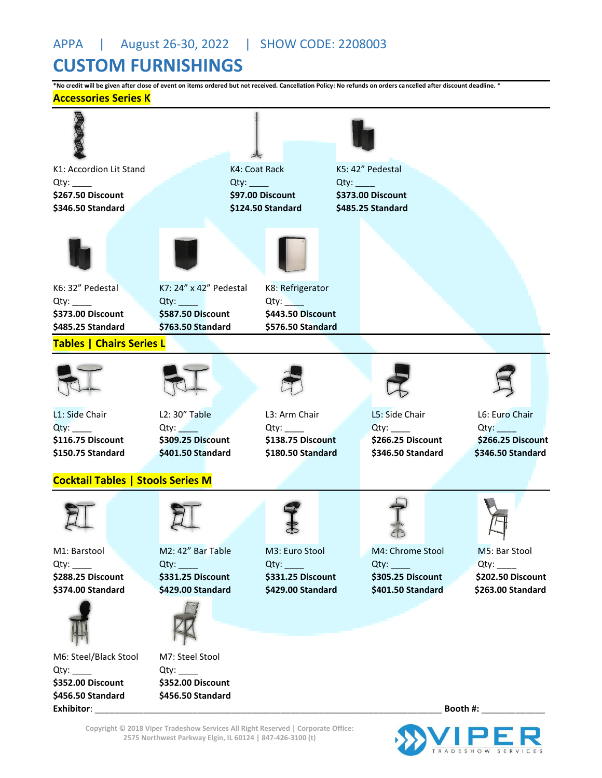## APPA | August 26-30, 2022 | SHOW CODE: 2208003 **PRE-SHOW TIPS**

**These tips can help you be fully prepared on show site. Should you have any questions, please contact your Viper Show Coordinator listed on the Quick Reference Page.** 

- *Submit orders early to receive the discounted rate* **–** This can be done by completing the necessary forms found in this kit or online a[t www.vipertradeshowstore.com.](http://www.vipertradeshowstore.com/) The standard pricing will apply to all show site orders.
- *Preparing freight shipments* **–** We strongly urge you to send your show freight to the advance warehouse. Some cost-saving tips are to have all of your freight delivered in a single shipment on an LTL freight carrier & arrange for the freight to be received on or before the Late to Warehouse Deadline to avoid late charges.
- *Review Quick Reference Page* **–** It is helpful to be familiar with the important dates outlined along with the show schedule. Be sure your travel plans accommodate for a smooth setup and move out; the return of the empty freight can take at least an hour after the close of the show.
- **Shipment tracking** It is recommended you track your shipment prior to the show to confirm it has been delivered. You can send the tracking information to your Viper Show Coordinator as soon as your freight is shipped.

# **SHOW SITE TIPS**

- *Viper Service Desk* The service desk will be located on the show floor for any questions or show site orders.
- *Booth orders & freight delivery* **–** A booth and freight check will be completed prior to setup and everything that was pre-ordered and/or sent to the Advance Warehouse will be in your booth. A Viper representative will be at the Viper Service Desk if you see any discrepancy. Credits are not provided to claims made post show.
- *Empty Storage* **–** Material Handling (drayage) service includes the storage of empty containers for the duration of the show. "Empty" stickers will be available at the Viper Service Desk. One sticker is to be placed on each of your empty crates/skids/boxes/ or items you want Viper to store. All items will be returned at the close of the show but can take at least an hour to all be returned.
- *Labor orders* **–** All exhibitor supervised labor orders will need to check in at the Viper Service Desk once ready for the labor.

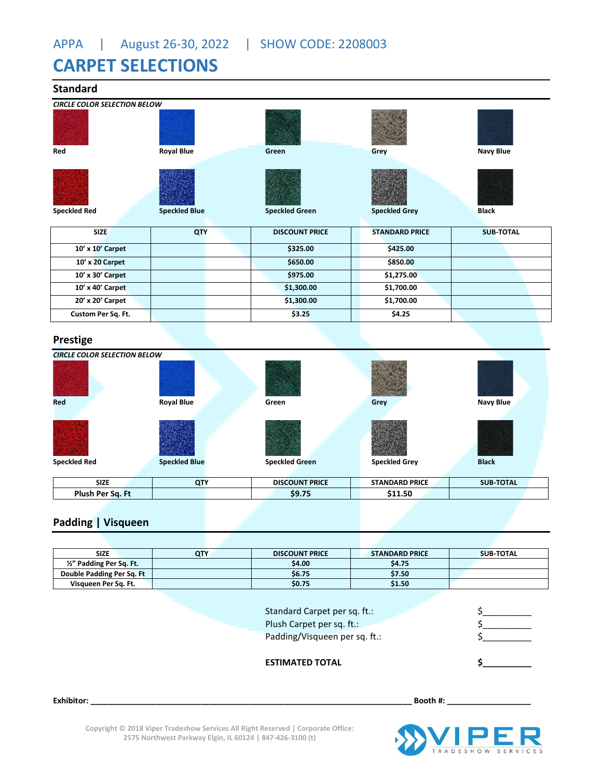### APPA | August 26-30, 2022 | SHOW CODE: 2208003 **MOVE OUT INFORMATION**

This information will also be distributed before the start of the last day of show hours; however, we highly recommend reading these instructions carefully in order to know what to expect and plan in advance. Please share this information with your show site staff in advance of the show, along with any arrangements for shipping you may make.

| <b>Exhibit Hall Officially Closes:</b>                                                                                                                      | Tuesday, August 30 @ 11:00am  |
|-------------------------------------------------------------------------------------------------------------------------------------------------------------|-------------------------------|
| Stored empty crates and containers returned:                                                                                                                | Tuesday, August 30 by 11:30am |
| Labor Force: all exhibitors should have started dismantle by now:<br>Exhibitors should have checked in at the Viper Service Desk for dismantle labor hired. | Tuesday, August 30 @ 3pm      |
| Freight Force - deadline for carriers to check in:                                                                                                          | Tuesday, August 30 @ 4pm      |

**All outbound shipments loading onto a contracted carrier or personally owned vehicle require a Viper Tradeshow Services Bill of Lading (BOL). Please follow these instructions.**

- 1. Pick up a Bill of Lading at the Viper Service Desk and completely fill out the gray shaded areas, making sure to write in your carrier name.
- 2. Call your common carrier or freight forwarder to make sure they are scheduled to arrive by **4pm**. We suggest telling them **1 HOUR BEFORE FREIGHT FORCE**, giving them room to fail without failing you! Here's the address for your convenience:

#### **Hilton Chicago -- Salon A --720 South Michigan Ave. Chicago IL 60605**

- 3. For liability reasons, and ensuring exhibitor's freight is loaded properly, all carriers MUST check in at the Viper Service Desk and be able to request your shipment by booth and company name. Please be sure to instruct your carrier to do so.
- 4. **Do not leave any UPS or FedEx shipments in your booth assuming it will be picked up!** We need a Bill of Lading submitted for all items/freight left in your booth and material handling (drayage) must be paid in full.
- 5. Once you have packed up all of your materials, please hand in your BOL to the Viper Service Desk. (Do not leave it in your booth.) We will sign it and give you a copy, keep a copy and give the driver a copy. Please note, material handling must be paid in full.

\*In the event you fail to turn in your BOL or your carrier does not check in by the **4pm** deadline, your freight will be re-consigned to the house carrier, Viper Tradeshow Transportation. No liability will be assumed by Viper as a result of such rerouting or handling and exhibitor will be charged standard shipping rates of \$2.75/pound for shipments 1000 lbs. or more, \$3.25/pound for shipments 999 lbs. or less; with a **\$725.00 minimum**. Charges will be applied to the credit card on file. Any freight left on the floor without proper paperwork or return labels will be deemed as trash and will be discarded. \*AV equipment and computers hold very specific packaging instructions in order to be covered by insurance. Viper Tradeshow Services is not liable and does not cover any AV equipment or other alike equipment. The Exhibitor holds all responsibility for such and should carry coverage for their own AV and computer equipment.

*Viper Transportation is the Official Carrier for this show*. If you would like Viper to be your carrier, simply complete and send us the shipping order form. Your BOL and labels will be delivered to your booth before the last days' exhibit hours.

If you decide to choose Viper as your carrier at show site, turn in the Viper Shipping Order Form provided to the Viper Service Desk by 10am (1 hour before show closing) and we will write up your Bill of Lading and labels and deliver them to your booth. Once you are packed, sign the BOL and turn it in to the Service Desk, you will get a copy, we will keep a copy, and the driver will receive a copy. No worries about late carriers and writing numerous labels. Pack, turn in your BOL, and go!

PLEASE CONTACT YOUR SHOW COORDINATOR WITH ANY QUESTIONS OR COME TO THE VIPER SERVICE DESK ON SITE. Diego Corona | dcorona@vipertradeshow.com | mobile: 224.425.8368

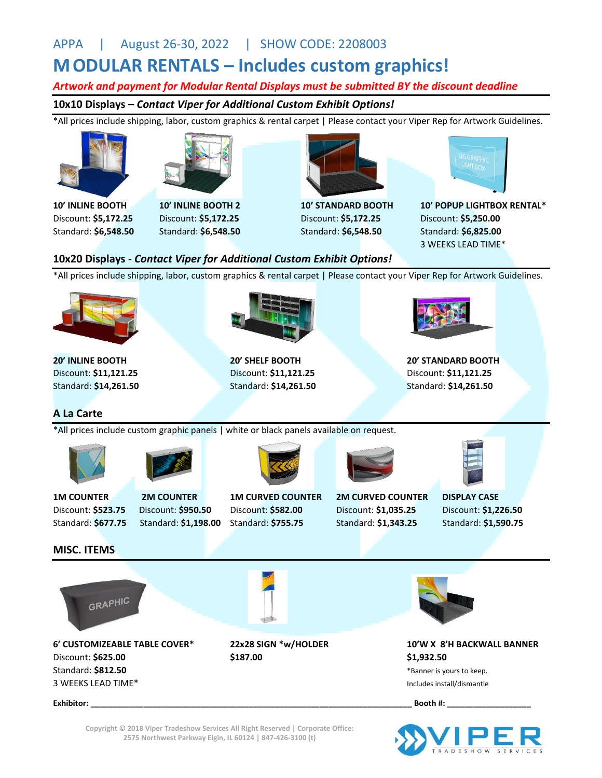### APPA | August 26-30, 2022 | SHOW CODE: 2208003 **TERMS AND DEFINITIONS:**

#### **IN ORDER TO RECEIVE A DISCOUNT:**

Payment must accompany your advance order and be received prior to the early deadline date and with completed Payment Authorization Form. All payments to be in US currency.

#### **OUTSTANDING PAYMENTS:**

Viper Tradeshow Services requires payment for all services upon presentation of an invoice statement at the exhibit site.

It is the responsibility of the Exhibitor to advise the Viper Tradeshow Services Service Center representative of any problems with any orders before the start of the show. No credits will be issued after the exhibition closing.

**Government Agencies please note**: If your firm or agency requires a purchase order be issued for any services rendered such purchase order must accompany the order forms.

All materials and equipment are on a rental basis, except where specifically identified as a sale, and remain the property of Viper Tradeshow Services.

Exhibitors with a history of delinquent payments and/or open balances will be required to settle their past due accounts and forward an advance deposit to cover the estimated costs of service and, if such deposit is not sufficient, will be required to settle their accounts prior to the close of the exhibition. Viper Tradeshow Services reserves the right to hold any exhibitor freight who has unpaid material handling fees. Such fees must be paid prior to the release of freight onsite.

Viper Tradeshow Services will accept payment by cash, company check, or Method of Payment for Visa, MasterCard or American Express. Viper Tradeshow Services reserves the right to check the credit available on any card presented. If the exhibitor fails to pay their invoice prior to the close of the show, the charges will automatically be applied to the credit card on file.

International Exhibitors will be required to settle their accounts in full prior to the close of the exhibition. Payments must be made in US Funds or by credit card, cash, check, or bank wire transfer, when previously arranged by Viper Tradeshow Services.

**Tax Exemption Status:** If you are exempt from payment of sales tax, we require you to forward an exemption certificate for the state in which the services are to be used. Resale certificates are not valid unless you are rebilling these charges to your customers. Payment for all labor, equipment and services, whether ordered by the exhibitor, display builder, non-official contractor or other parties, shall be the responsibility of the exhibitor at the event.

**Insurance:** Be sure your materials are insured from the time they leave your firm until they are returned after the show. It is suggested that exhibitors arrange all-risk coverage. This can usually be done by "riders" to existing policies.

**Material Handling Form (MHA) aka Bill of Lading (BOL):** Your bill of lading must be turned in no later than the force times listed on the Quick Reference page. Each exhibitor is responsible for turning in a Bill of Lading to the Exhibitor Service desk after dismantling and completion of packing and labeling all boxes, crates, etc. The Bill of Lading is the official "permission" of the exhibitor allowing removal of freight from the booth to the carrier of choice (personal vehicle, truck, van line, airfreight, etc.) *Any unconsigned shipment left in the exhibit hall after dismantling hours will be shipped via the Official Show Carrier, Viper Transportation, at the expense of the exhibitor! Your bill of lading must be turned in no later than the force times listed on the Quick Reference Page.* 

**Small Package Shipments:** Includes cartons received without documentation and delivered to the booth without guarantee of piece count and documentation, including but not limited to FedEx, UPS, Airborne, and DHL.

**"Hand Carry":** The ability for an exhibitor to "hand carry" their materials onto the exhibit hall without the use of wheels, including but not limited to, luggage carts, four wheel or two-wheel dollies, baggage carts.

**Cancellation of orders:** Exhibitor orders must be cancelled on or by the discount/cancellation deadline in order to receive a refund. Any orders cancelled after the deadline will be charged at full. Credits will not be given for orders cancelled after this deadline or at show site. This is void for any full show cancellations at which point Viper will communicate policy.

Final Show Audit: Viper Tradeshow Services reserves the right to perform a Final Audit of this event for up to 120 days after the move out date of the event. (Also, an end of the year review in December. If additional charges for any service, labor or equipment are found, it will be added to the Exhibitor's invoice and the credit card on file will be charged. A Final Audit Invoice with explanation of any additional charges will be sent to the Exhibitor. If Viper does not have payment information, the invoice sent to the Exhibitor will be due upon receipt.

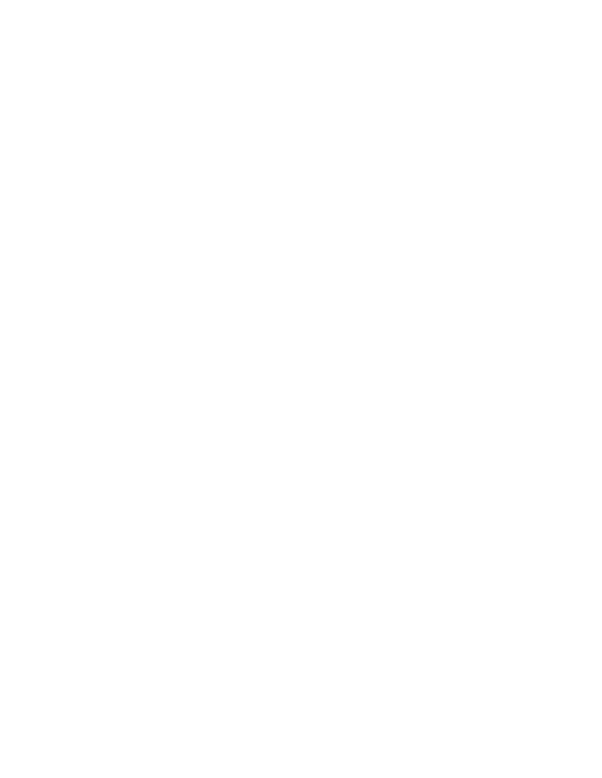### **METHOD OF PAYMENT**

| <b>Exhibitor Information</b>                   |                                                                                                                |                                                                                                                                                                                                                                     |  |  |
|------------------------------------------------|----------------------------------------------------------------------------------------------------------------|-------------------------------------------------------------------------------------------------------------------------------------------------------------------------------------------------------------------------------------|--|--|
|                                                |                                                                                                                |                                                                                                                                                                                                                                     |  |  |
|                                                |                                                                                                                |                                                                                                                                                                                                                                     |  |  |
|                                                |                                                                                                                | State: Zip:                                                                                                                                                                                                                         |  |  |
| Contact:<br><u> 1980 - Jan Jawa Barat, pre</u> |                                                                                                                | <b>Phone:</b> Phone Phone Phone Phone Phone Phone Phone Phone Phone Phone Phone Phone Phone Phone Phone Phone Phone Phone Phone Phone Phone Phone Phone Phone Phone Phone Phone Phone Phone Phone Phone Phone Phone Phone Phone Pho |  |  |
|                                                | Email Address: No. 1996. The Contract of Tennes and Tennes and Tennes and Tennes and Tennes and Tennes and Ten |                                                                                                                                                                                                                                     |  |  |

# **Ways to Order:**

Online via Credit Card | Login & Place Orders [| www.vipertradeshowstore.com](http://www.vipertradeshowstore.com/) | Show Code: **2208003**

Show Site Contact: \_\_\_\_\_\_\_\_\_\_\_\_\_\_\_\_\_\_\_\_\_\_\_\_\_\_\_\_\_\_\_\_\_\_\_\_\_\_\_\_\_\_\_\_\_ Cell Phone: \_\_\_\_\_\_\_\_\_\_\_\_\_\_\_\_\_\_\_\_\_\_\_\_\_\_\_\_\_

#### Email: **dcorona@vipertradeshow.com**

Fax: Send completed forms to 847.426.3111

Mail: Send completed forms to Viper Tradeshow Services – 2575 Northwest Parkway Elgin, IL 60124

| <b>Payment Terms</b> |  |
|----------------------|--|
|----------------------|--|

Full payment is due upon receipt of invoice

Payment must be received prior to the discount deadline to receive the discounted rates

ACH or Wire Transfer payments need to be received prior to the show. A Method of Payment form must be submitted for final balances

### **Viper Tradeshow Services Orders**

| Shipping (Viper Transportation):             |  |  |  |
|----------------------------------------------|--|--|--|
| <b>Material Handling Estimate:</b>           |  |  |  |
| Floral/Booth Cleaning:                       |  |  |  |
| Installation & Dismantle Labor:              |  |  |  |
| <b>Standard Furniture &amp; Accessories:</b> |  |  |  |
| <b>Viper Custom Furnishings:</b>             |  |  |  |
| Carpet & Padding:                            |  |  |  |
| <b>Modular Rental Displays:</b>              |  |  |  |

#### **Estimated Total Viper Tradeshow Services Orders:** \$\_\_\_\_\_\_\_\_\_

*\*A receipt with actual totals will be emailed to contact on file.*

### **Method of Payment / Credit Card Charges\***

#### *\*3.5% Convenience Fee will be applied | All applicable state and local taxes apply*

By submitting this payment form, you are authorizing to charge your credit card account for your advance orders, and any additional amounts incurred as a result of weight adjustments or show site orders placed by your representative; including labor, material handling and shipping.

| Please circle appropriate credit card:                                                                                                                                                                                         | <b>MasterCard</b>                                                                                               | <b>Visa</b> | <b>American Express</b>                 |  |
|--------------------------------------------------------------------------------------------------------------------------------------------------------------------------------------------------------------------------------|-----------------------------------------------------------------------------------------------------------------|-------------|-----------------------------------------|--|
|                                                                                                                                                                                                                                |                                                                                                                 |             |                                         |  |
| Expiration Date: Management Property and Property and Property and Property and Property and Property and Property and Property and Property and Property and Property and Property and Property and Property and Property and |                                                                                                                 |             | CVV:                                    |  |
| <b>Cardholder Signature:</b>                                                                                                                                                                                                   | the contract of the contract of the contract of the contract of the contract of the contract of the contract of |             |                                         |  |
| <b>Name Printed:</b>                                                                                                                                                                                                           |                                                                                                                 |             |                                         |  |
| Address (if different from above):                                                                                                                                                                                             |                                                                                                                 |             |                                         |  |
| Company Check # (Please note show name on check): ____________                                                                                                                                                                 |                                                                                                                 |             | Date check mailed: National State Check |  |

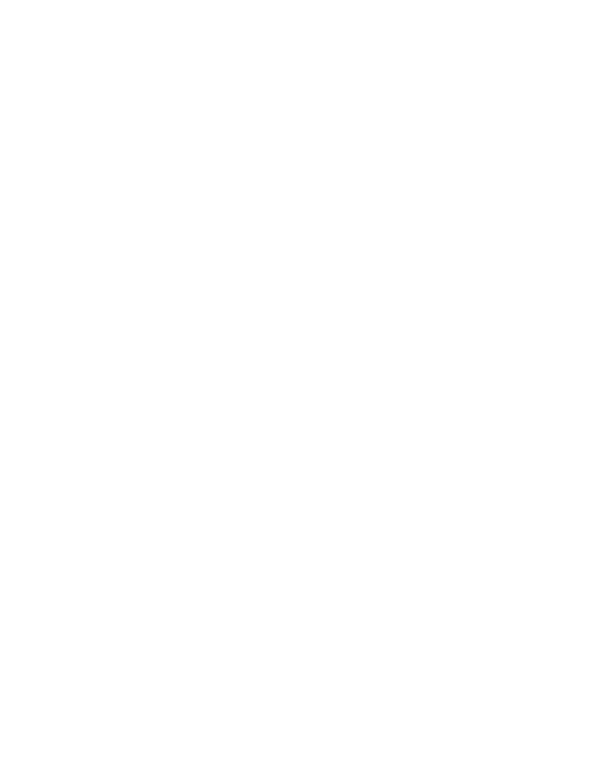## APPA | August 26-30, 2022 | SHOW CODE: 2208003 **VIPER TRANSPORTATION SHIPPING ORDER FORM**

Viper offers door to door ground shipping (7-15 business days) anywhere in the contiguous United States regardless of destination, at a flat rate of \$3.25/lb. on shipments under 1,000 lbs. and \$2.75/lb. for shipments over 1,000 lbs. *Dimensional weight may apply*, and a **\$725.00 minimum** applies for each shipment (destination/or leg). Canadian shipments are provided at a flat rate of \$4.25 for shipments 1,000 lbs. and \$3.75 for shipments over 1,000 lbs.; a \$950.00 minimum applies. **Material Handling charges apply for all shipments.** *\*If expedited shipping is required, please contact Viper for a quote, 847.426.3100.*

### **Inbound shipping from:**

| <b>Company Name:</b> The Company Name: The Company Name: The Company Name: The Company Name: The Company Name: The Company Name: The Company Name: The Company Name: The Company Name: The Company Of the Company of the Company of |            |            |     |                                                               |            |                                                                                                                 | Booth #:                                                                                                                                                                                                                       |  |
|-------------------------------------------------------------------------------------------------------------------------------------------------------------------------------------------------------------------------------------|------------|------------|-----|---------------------------------------------------------------|------------|-----------------------------------------------------------------------------------------------------------------|--------------------------------------------------------------------------------------------------------------------------------------------------------------------------------------------------------------------------------|--|
| Street Address: The Contract of the Contract of the Contract of the Contract of the Contract of the Contract o                                                                                                                      |            |            |     |                                                               |            |                                                                                                                 |                                                                                                                                                                                                                                |  |
|                                                                                                                                                                                                                                     |            |            |     |                                                               |            | State: and the state of the state of the state of the state of the state of the state of the state of the state | Zip: the contract of the contract of the contract of the contract of the contract of the contract of the contract of the contract of the contract of the contract of the contract of the contract of the contract of the contr |  |
|                                                                                                                                                                                                                                     |            |            |     |                                                               |            |                                                                                                                 |                                                                                                                                                                                                                                |  |
|                                                                                                                                                                                                                                     |            |            |     |                                                               |            |                                                                                                                 |                                                                                                                                                                                                                                |  |
| Requested Pickup Date/Time: 2008                                                                                                                                                                                                    |            |            |     |                                                               |            |                                                                                                                 |                                                                                                                                                                                                                                |  |
| Is this a residence:                                                                                                                                                                                                                | <b>YES</b> | <b>NO</b>  |     | Do you have a dock:                                           | <b>YES</b> | <b>NO</b>                                                                                                       |                                                                                                                                                                                                                                |  |
| Is this a Round Trip shipment:                                                                                                                                                                                                      |            | <b>YES</b> | NO. | (if address is different than above please add address below) |            |                                                                                                                 |                                                                                                                                                                                                                                |  |

**Special Instructions (inside pickup, liftgate required, receiving hours, etc): \_\_\_\_\_\_\_\_\_\_\_\_\_\_\_\_\_\_\_\_\_\_\_\_\_\_\_\_\_\_\_\_\_\_\_\_\_\_\_\_\_\_\_\_\_\_\_\_\_\_**

| # of Pieces | <b>Description of Package</b>   | <b>Estimated Dims &amp; Weight - INBOUND</b> | <b>Estimated Dims &amp; Weight - OUTBOUND</b> |
|-------------|---------------------------------|----------------------------------------------|-----------------------------------------------|
|             | Crate (Wooden) Exhibit Material |                                              |                                               |
|             | <b>Cardboard Carton</b>         |                                              |                                               |
|             | <b>Fiber Case</b>               |                                              |                                               |
|             | Pallets                         |                                              |                                               |
|             | Carpets                         |                                              |                                               |
|             | <b>Miscellaneous</b>            |                                              |                                               |

**Outbound Shipping: <u>Inclusive</u> I only need outbound shipping** (if this option is selected, please add your shipping address below)

| <b>Company Name:</b> The Company Name: The Company Name: The Company Name: The Company Name: The Company Name: The Company Name: The Company Name: The Company Name: The Company Name: The Company Of the Company of the Company of |                                                                                                                 | Booth #: _____________ |
|-------------------------------------------------------------------------------------------------------------------------------------------------------------------------------------------------------------------------------------|-----------------------------------------------------------------------------------------------------------------|------------------------|
|                                                                                                                                                                                                                                     |                                                                                                                 |                        |
|                                                                                                                                                                                                                                     | State: Album and the state of the state of the state of the state of the state of the state of the state of the | Zip:                   |
|                                                                                                                                                                                                                                     |                                                                                                                 |                        |
| Email Address: Email Address:                                                                                                                                                                                                       |                                                                                                                 |                        |
| Special Instructions lingide delivery. liftente required, resolving hours, ately                                                                                                                                                    |                                                                                                                 |                        |

Special Instructions (inside delivery, liftgate required, receiving hours, etc):

#### **Acceptance & Payment**

I understand that in the absence of added protection and accompanying itemized valuation, the maximum liability for loss or damage is limited to \$50.00 per shipment or \$0.50 per pound, whichever is greater. I accept responsibility for coverage for my products during shipping, otherwise, I am purchasing only supplemental insurance (does not include AV or computer equipment) protection (**up to \$5,000.00**) at \$25.00 for every \$1,000.00 declared value. *\*Please note Viper Tradeshows is not liable for shipping A/V or computer equipment\**

Insurance Cost \$\_\_\_\_\_\_\_\_\_\_\_\_ (\$25/\$1000 value) Declared value \$\_\_\_\_\_\_\_\_\_\_\_\_\_\_\_\_

**I am not purchasing supplemental insurance protection: \_\_\_\_\_\_\_\_\_\_\_\_\_\_\_\_\_\_\_\_\_\_\_\_\_\_\_\_\_\_\_\_\_\_\_\_\_ (please sign or initial)**

\*AV equipment and computers hold very specific packaging instructions in order to be covered by insurance. Viper Tradeshow Services is not liable and does not cover any AV equipment or other alike equipment. The Exhibitor holds all responsibility for such and should carry coverage for their own AV and computer equipment.

Signature to officially place this order and acceptance of terms:

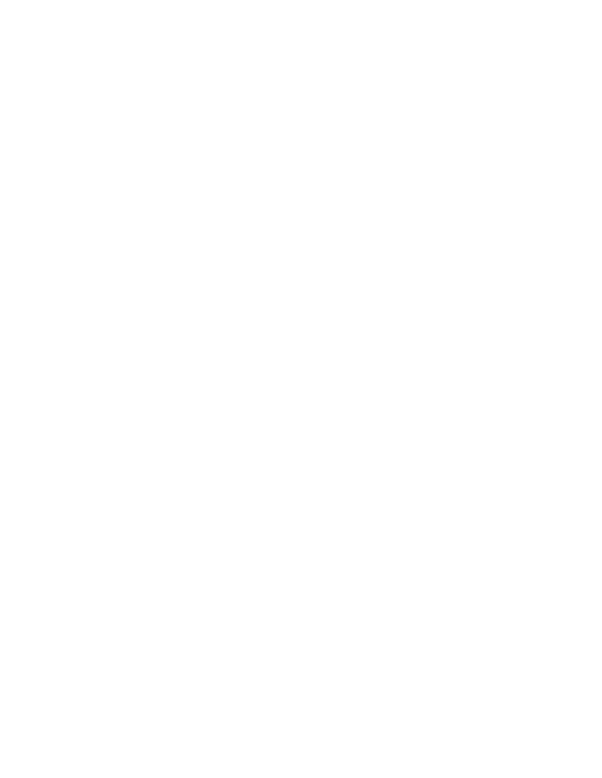# APPA | August 26-30, 2022 | SHOW CODE: 2208003 **ADVANCE WAREHOUSE SHIPPING LABELS**

For your convenience labels are provided below for advance warehouse delivery. We encourage you to make copies and fill in your specific information and tape two labels on each piece of your freight.

| <b>SHIPPER INFORMATION</b>      |                                               |           |                                           |  |  |
|---------------------------------|-----------------------------------------------|-----------|-------------------------------------------|--|--|
| FROM:                           |                                               |           |                                           |  |  |
|                                 |                                               |           |                                           |  |  |
|                                 |                                               |           |                                           |  |  |
|                                 |                                               |           |                                           |  |  |
|                                 | <b>ADVANCE WAREHOUSE DELIVERY INFORMATION</b> |           |                                           |  |  |
|                                 |                                               |           |                                           |  |  |
| TO (Exhibiting Co. Name): __    |                                               |           | <b>BOOTH #:</b>                           |  |  |
| <b>APPA</b>                     |                                               |           | *Deliver by Friday, August 19 to avoid    |  |  |
| <b>Viper Tradeshow Services</b> |                                               | late fees |                                           |  |  |
| 2575 Northwest Parkway          |                                               |           |                                           |  |  |
| <b>Elgin IL 60124</b>           |                                               |           |                                           |  |  |
|                                 |                                               |           |                                           |  |  |
|                                 |                                               |           | <b>OF</b><br>PIECE: <b>William PIECE:</b> |  |  |
|                                 |                                               |           |                                           |  |  |
|                                 |                                               |           |                                           |  |  |

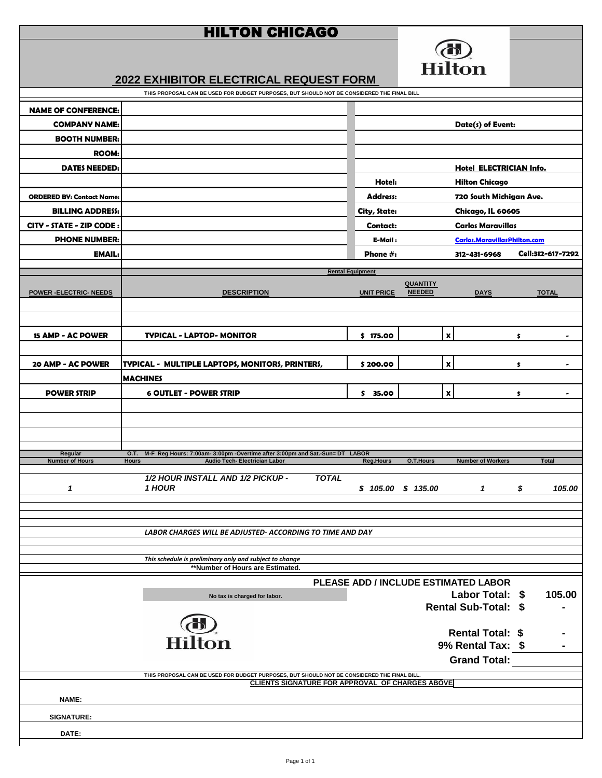For your convenience labels are provided below for show site delivery. We encourage you to make copies and fill in your specific information and tape one on each piece of your freight.

| <b>SHIPPER INFORMATION</b>                        |                                       |  |                                      |  |  |
|---------------------------------------------------|---------------------------------------|--|--------------------------------------|--|--|
| FROM:                                             |                                       |  |                                      |  |  |
|                                                   |                                       |  |                                      |  |  |
|                                                   |                                       |  |                                      |  |  |
|                                                   | <b>SHOW-SITE DELIVERY INFORMATION</b> |  |                                      |  |  |
| TO (Exhibiting Co. Name): ________                |                                       |  | BOOTH #:                             |  |  |
| <b>Hilton Chicago</b>                             |                                       |  | *Deliver on Sunday, August 28 from   |  |  |
| <b>Salon A</b>                                    |                                       |  | 9am - 5:30pm ONLY                    |  |  |
| c/o Viper Tradeshow Services                      |                                       |  |                                      |  |  |
| <b>720 South Michigan Ave</b><br>Chicago IL 60605 |                                       |  |                                      |  |  |
|                                                   |                                       |  |                                      |  |  |
|                                                   |                                       |  | <b>PIECE: CONTINUES</b><br><b>OF</b> |  |  |
|                                                   |                                       |  |                                      |  |  |
|                                                   |                                       |  |                                      |  |  |

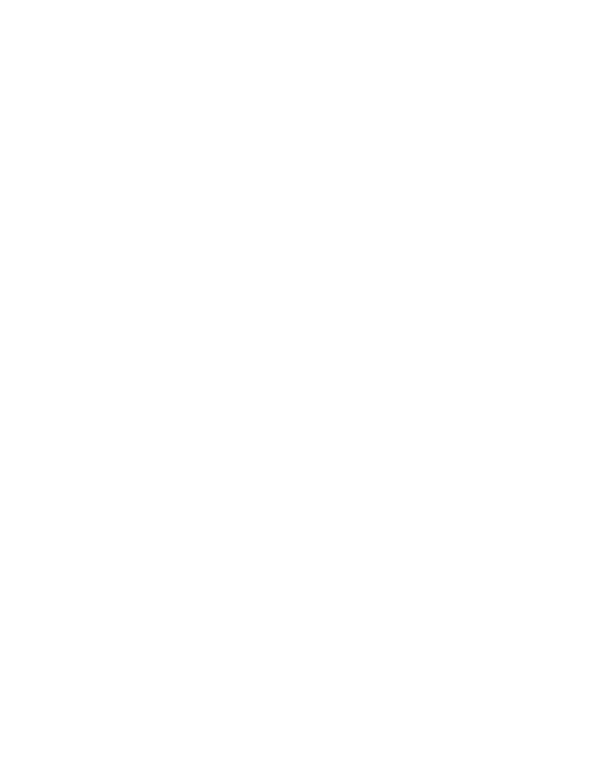# **MATERIAL HANDLING**

| <b>ADVANCE WAREHOUSE</b>        | <b>SHOWSITE</b>                     |
|---------------------------------|-------------------------------------|
| <b>APPA</b>                     | <b>Hilton Chicago</b>               |
| <b>Viper Tradeshow Services</b> | <b>Salon A</b>                      |
| 2575 Northwest Parkway          | c/o Viper Tradeshow Services        |
| <b>Elgin IL 60124</b>           | <b>720 South Michigan Ave</b>       |
| $8$ am – 4pm                    | Chicago IL 60605                    |
|                                 | Sunday, August 28 from 9am - 5:30pm |

### **A 200-pound minimum (2 CWT) applies to every shipment,**

### **whether received at the Advance Warehouse or Show Site.**

- *Rates for this show are on actual or dimensional weight, whichever is greater, for every hundred pounds (cwt or hundredweight) rounded up to the nearest whole number.*
- *If a shipment is split up and pieces are delivered at different times, the minimum 2 CWT will apply every time freight is received.*
- Rates below include receipt of your freight, delivery to the booth, storage and return of empty crates, and reloading. Additional charges may apply if your shipment does not arrive/depart during the designated move-in/move-out times.

#### **Calculate your CWT (hundred weight)**

| <b>Estimated Weight of Shipment:</b> | Pounds |                           |
|--------------------------------------|--------|---------------------------|
| Pounds Divided by 100, rounded up:   |        | Your CWT (no less than 2) |

#### **Advance Warehouse Deliveries**

|                                                                                                                     | <b>RATE PER CWT</b> |
|---------------------------------------------------------------------------------------------------------------------|---------------------|
|                                                                                                                     | \$334.40 / CWT      |
| Boxed, crated, or skidded shipment via POV, or specialized carrier, FedEx, UPS, or USPS                             | \$397.10/ CWT       |
|                                                                                                                     | \$397.10 / CWT      |
|                                                                                                                     | \$459.80 / CWT      |
| Loose/uncrated or shipment requiring special and/or OT/DT handling (30% fee added to the above rates) \$62.70 / CWT |                     |
|                                                                                                                     |                     |

| <b>Estimated CWT</b><br>(Rate listed above) = | <b>Estimated Total</b> |
|-----------------------------------------------|------------------------|
|-----------------------------------------------|------------------------|

### **Show Site Deliveries**

|                                                                                                                     | <b>RATE PER CWT</b> |
|---------------------------------------------------------------------------------------------------------------------|---------------------|
|                                                                                                                     | \$350.40 / CWT      |
| Boxed, crated, or skidded shipment via POV, or specialized carrier, FedEx, UPS, or USPS                             | \$416.10/ CWT       |
| Off-target shipment (before or after) 8/28 at 9am - 5:30pmvia common carrier                                        | \$416.10 / CWT      |
| Off-target shipment (before or after) 8/28 at 9am - 5:30pm via POV, or specialized carrier                          | \$481.80 / CWT      |
| Loose/uncrated or shipment requiring special and/or OT/DT handling (30% fee added to the above rates) \$65.70 / CWT |                     |
|                                                                                                                     |                     |
|                                                                                                                     |                     |
|                                                                                                                     |                     |

Estimated CWT\_\_\_\_\_\_\_\_\_\_\_\_\_\_\_\_\_ x \_\_\_\_\_\_\_\_\_\_\_\_\_\_\_\_\_\_ (Rate listed above) =\_\_\_\_\_\_\_\_\_\_\_\_\_\_\_\_\_\_\_ Estimated Total

**Exhibitor**: \_\_\_\_\_\_\_\_\_\_\_\_\_\_\_\_\_\_\_\_\_\_\_\_\_\_\_\_\_\_\_\_\_\_\_\_\_\_\_\_\_\_\_\_\_\_\_\_\_\_\_\_\_\_\_\_\_\_\_\_\_\_\_\_\_\_\_\_\_\_\_ **Booth #:** \_\_\_\_\_\_\_\_\_\_\_\_\_



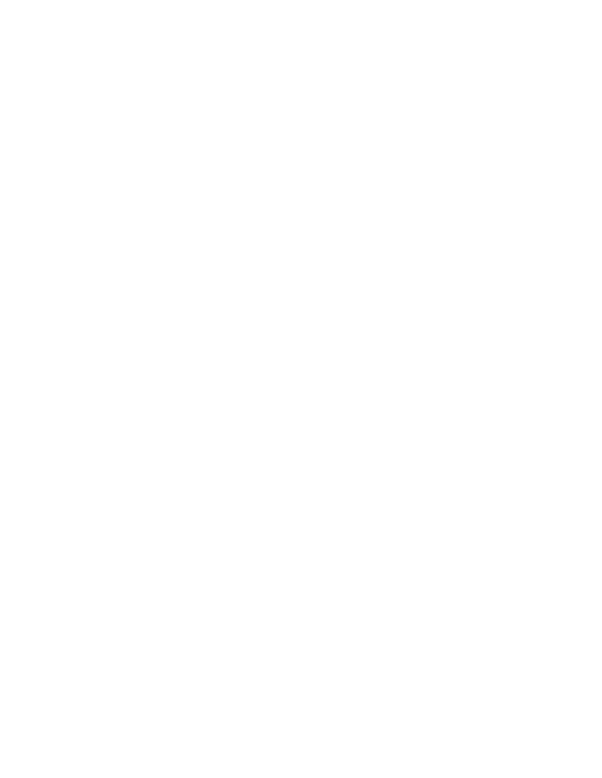# APPA | August 26-30, 2022 | SHOW CODE: 2208003 **VTS MATERIAL HANDLING TERMS & CONDITIONS**

Advance shipments will be accepted at the Viper Tradeshow Services warehouse and allowed up to 28 days free storage if delivered by the advance deadline receiving date listed below, and includes delivering freight direct to the exhibitor's booth storage of empties during the show, delivery of empties at the end of the show to an exhibitor's booth, and turning in Bill of Lading to the service desk and loading of materials onto outbound transportation carrier. Show Site shipments receive the same services except for warehouse storage.

#### **Special Handling 30% Surcharge**

Special Handling rates shall be applied to the total standard charges, but are not limited to the following types of shipments. Multiple scenarios may incur multiple special handling charges.

| <b>Moving Van Shipments</b>         | Shipments delivered by a moving van or shipments by any truck which, because of the        |  |  |  |
|-------------------------------------|--------------------------------------------------------------------------------------------|--|--|--|
|                                     | height of the truck bed, cannot be unloaded at the docks.                                  |  |  |  |
| Loose Freight                       | Shipments packed in such a manner as to require special handling (i.e. loose display       |  |  |  |
|                                     | parts, loose carpet rolls unskidded, uncrated equipment, stacked freight, etc.) regardless |  |  |  |
|                                     | of the kind of carrier or vehicle used, including small package shipments.                 |  |  |  |
| <b>Undetermined Description</b>     | Description of the shipment is such that the type of materials or equipment cannot be      |  |  |  |
|                                     | determined (i.e. 1 lot 20 assorted pieces, etc.) Including any mixed lot/multiple          |  |  |  |
|                                     | shipments that are delivered together.                                                     |  |  |  |
| Must be Delivered by Hand           | Materials must be moved "by hand" to the booth due to facility situations beyond Viper     |  |  |  |
|                                     | Tradeshow Services' control (i.e. elevators, rooms forklifts cannot be used, etc.)         |  |  |  |
| <b>Small Package Carriers (SPC)</b> | The use of small package carriers such as FedEx, UPS, DHL, etc. do not provide BOL and     |  |  |  |
|                                     | deliver large quantities on the dock requiring additional time to sort and identify.       |  |  |  |
|                                     |                                                                                            |  |  |  |

### **Overtime or Off Target 30% Surcharge**

Shipments that qualify for overtime rates are any shipments unloaded or received at the warehouse/show site before 8 AM or after 4:30 PM on weekdays, anytime Saturday, Sunday or holidays or after ONE WEEK OUT. Additionally, when warehouse freight must be moved into the exhibit site on overtime, due to scheduling conflict beyond the control of Viper Tradeshow Services, or show move in or move out times are after 4:30 PM on weekdays, on Saturday, Sunday, or Holidays overtime charges will apply.

### **Material Handling / Special Handling Definitions**

**Material Handling**: Movement of goods. This includes receipt of your freight, delivery to the booth, storage and return of empty crates/boxes, and reloading.

**CWT:** 'Hundred weight'- a unit of measurement for weight, equal to 100 pounds.

**Storage Terms**: Exhibitors may hand deliver their own materials to the exhibit facility through the front doors. The use or rental of dollies, flat trucks or other mechanical equipment is not permitted. Viper Tradeshow Services must control access to the loading docks in order to provide a safe and orderly move-in/out. Material handling fees must be paid in full for any materials that require empty storage. **Multiple Shipments:** Any shipments received from multiple locations or received at different times/dates are considered separate and will be assessed multiple Material Handling minimums. No cumulative weights will be allowed on minimums or split shipments.

**Ground Loading/Unloading**: Vehicles that are not dock height preventing the use of loading docks, such as U-hauls, flat bed double drop trailers, company vehicles with trailers that are not dock level, etc.

**Constricted Space Loading/Unloading**: Trailer loaded "high and tight" shipments that are not easily accessible. Freight is loaded to full car trailer – top to bottom, side to side.

**Designated Piece Loading/Unloading**: Drivers that require the crew to bring multiple pieces of the freight to the rear of the trailer to the next piece, having to remove freight from the trailer then reload to fit or the trailer must be loaded sequence to ensure all items fit. **Stacked Shipments**: Shipments loaded in such a manner requiring multiple items to be removed to ground level for delivery to booth. Stacked or "cubed out" shipments, loose items placed on top of crates and/or pallets constitute special handling.

**Shipment Integrity**: Shipment integrity involves shipments on a carrier that are intermingled or delivered in such a manner additional labor is needed to sort through and separate the various shipments on a truck for delivery.

**Alternate Delivery Location**: Alternative delivery location refers to shipments that are delivered by a carrier that requires us to deliver shipments to different levels in the same building, or to other buildings in the same facility.

**Mixed Shipments**: Mixed shipments are defined as shipments of mixed crated and uncrated goods, where the percentage of uncrated is minimal and does not warrant the full uncrated rate for this shipment but does require special handling.

"**No Documentation**": Shipments arrive from a small package carrier (including, not limited to, FedEx, UPS, DHL) without an individual Bill of Lading or shipments without a certified weight ticket which requires additional time, labor and equipment to process.

**Difference Between Crated and Uncrated Shipments**: Crated shipments are those that are packed in any type of shipping container that can be unloaded at the dock with no additional handling required. Such containers include crates, fiber cases, cartons and properly packed skids. An uncrated shipment is material that is shipped loose or pad-wrapped and/or unskidded without proper lifting bars and hooks.

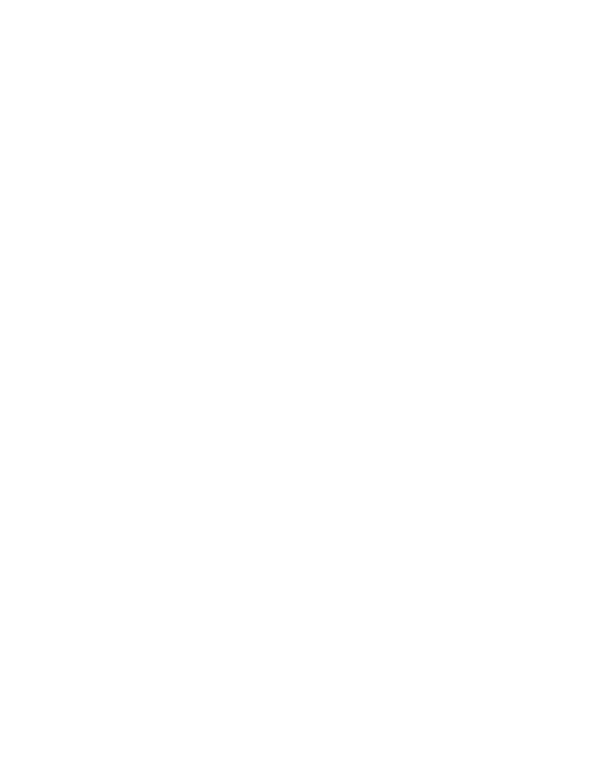# **BOOTH CLEANING**

\*Please contact your Viper Show Coordinator for a quote if you have specific cleaning requests.

#### **Vacuuming**

A Booth Unit = One (1) 10' x 10'/  $8'$  x 10' Booth (Please circle booth size). 10' x 20' = 2 Units, 20' x 20' = 4 Units and so on. Please be sure to include ALL units.

| Number of Booth Units:            | x \$108.00 Discount / \$131.00 Standard                                                                                                                                                                                         |  |
|-----------------------------------|---------------------------------------------------------------------------------------------------------------------------------------------------------------------------------------------------------------------------------|--|
|                                   | Subtotal: \$                                                                                                                                                                                                                    |  |
| <b>Subtotal x Number of Days:</b> | <b>TOTAL: \$</b>                                                                                                                                                                                                                |  |
| <b>Porter Service</b>             |                                                                                                                                                                                                                                 |  |
|                                   | $\sim$ . The contract of the contract of the contract of the contract of the contract of the contract of the contract of the contract of the contract of the contract of the contract of the contract of the contract of the co |  |

Emptying refuse from containers as necessary throughout the show hours. A Booth Unit = One (1) 10' x 10'/ 8' x 10' Booth (Please circle booth size).  $10'$  x  $20'$  = 2 Units,  $20'$  x  $20'$  = 4 Units and so on. Please be sure to include ALL units.

> Straight Time (ST) | Monday – Friday: 8:00 am – 4:30 pm Over Time (OT) | Monday – Friday before 8:00 am & after 4:30 pm Double Time (DT) | Any time Saturday, Sunday & Holidays

| <b>DISCOUNT</b>                      | <b>STANDARD</b>                       |          |
|--------------------------------------|---------------------------------------|----------|
|                                      |                                       |          |
| ST: \$91.00 per day, per booth unit  | ST: \$136.50 per day, per booth unit  |          |
| OT: \$108.00 per day, per booth unit | OT: \$162.00 per day, per booth unit  |          |
| DT: \$127.00 per day, per booth unit | DT: \$190.50 per day, per booth unit  |          |
|                                      |                                       |          |
| Number of Booth Units:               | x use appropriate rates from above    |          |
|                                      |                                       |          |
|                                      | Subtotal: \$_____________________     |          |
|                                      |                                       |          |
|                                      | <b>TOTAL: \$_____________________</b> |          |
| <b>Subtotal x Number of Days:</b>    |                                       |          |
|                                      |                                       |          |
|                                      |                                       |          |
|                                      |                                       |          |
|                                      |                                       |          |
|                                      |                                       |          |
|                                      |                                       |          |
|                                      |                                       |          |
|                                      |                                       |          |
|                                      |                                       |          |
|                                      |                                       |          |
|                                      |                                       |          |
| Exhibitor:                           |                                       | Booth #: |
|                                      |                                       |          |
|                                      |                                       |          |

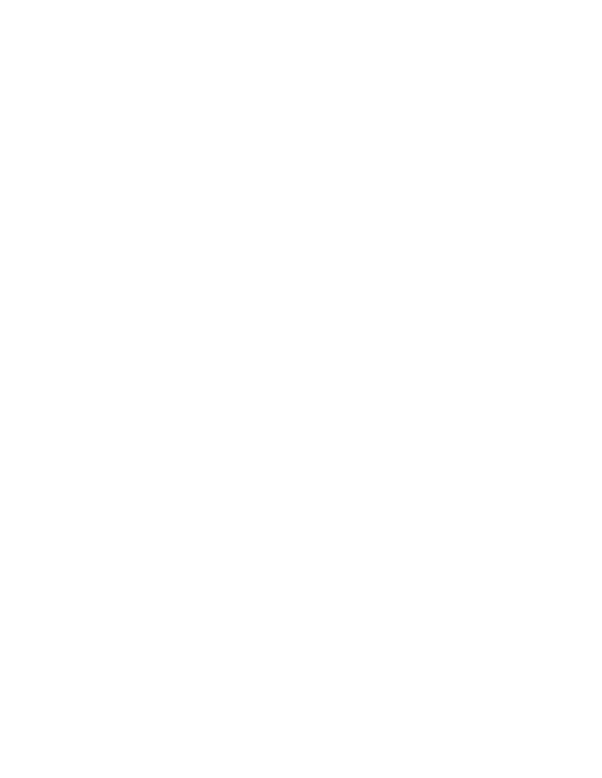# **DISPLAY LABOR (Installation & Dismantle) INFO**

### **Display Labor Hourly Rates**

Straight Time (ST) | Monday – Friday: 8:00 am – 4:30 pm Over Time (OT) | Monday – Friday before 8:00 am & after 4:30 pm Double Time (DT) | Any time Saturday, Sunday & Holidays

### **Exhibitor Supervised:**

ST: \$159.00 per person, per hour ST: \$238.50 per person, per hour OT: \$238.50 per person, per hour OT: \$357.75 per person, per hour DT: \$318.00 per person, per hour DT: \$477.00 per person, per hour

### **Viper Supervised (35% supervision applied): DISCOUNT STANDARD**

ST: \$214.65 per person, per hour ST: \$321.98 per person, per hour OT: \$321.98 per person, per hour OT: \$482.97 per person, per hour DT: \$429.30 per person, per hour DT: \$643.95 per person, per hour

### **DISCOUNT STANDARD**

### **Labor Definitions**

All labor is supervised by Viper Tradeshow Services and charged accordingly unless checked below. Viper will not be responsible for any damage or loss of materials during installation, dismantle, unpacking or packing. There is a 1 hour minimum per worker at 1-hour increments thereafter.

**Viper Tradeshow Services Supervised Labor**: Exhibits are set up prior to exhibitor's arrival under the direction of Viper Tradeshow Services I&D Supervisors. The charge for this service is an additional 35% of the total installation labor bill. Please provide complete booth plans, schematics, **instructions and photos for this service along with inbound and outbound shipping information.**

**Exhibitor Supervised Labor**: Supervisor must check in at the Viper Tradeshow Services Center to pick up labor. Upon completion of work, supervisor must return to Viper Tradeshow Service Center to release labor. Start time guaranteed only where labor is requested for the start of the working day (8:00 am) unless the official set time begins later in the day.

Please provide supervisors name and cell number:

#### **Installation Calculation & Order CIRCLE ONE: Exhibitor Supervision or Viper Supervision**

| 1.             | Day/Time of set up:                                                     |                                                                                                                      |        | Hourly Rate as noted above                                    |
|----------------|-------------------------------------------------------------------------|----------------------------------------------------------------------------------------------------------------------|--------|---------------------------------------------------------------|
| 2.             | Number of Laborers:                                                     |                                                                                                                      |        | x number of people                                            |
| 3.             | Number of Hours:                                                        |                                                                                                                      |        | x number of hours                                             |
|                |                                                                         |                                                                                                                      |        |                                                               |
| 4.             |                                                                         | <b>TOTAL AMOUNT OF HOURS ARE A RESISTING A RESISTING A RESISTING A RESISTING A RESISTING A RESISTING A RESISTING</b> | (RATE) |                                                               |
|                |                                                                         |                                                                                                                      |        |                                                               |
|                | <b>Dismantle Calculation &amp; Order</b>                                |                                                                                                                      |        | <b>CIRCLE ONE: Exhibitor Supervision or Viper Supervision</b> |
|                |                                                                         |                                                                                                                      |        |                                                               |
| 1.             |                                                                         |                                                                                                                      |        | Hourly Rate as noted above                                    |
| 2 <sub>1</sub> | Number of Laborers:                                                     |                                                                                                                      |        | x number of people                                            |
| 3.             | Number of Hours:                                                        |                                                                                                                      |        | x number of hours                                             |
|                |                                                                         |                                                                                                                      |        |                                                               |
| 4.             |                                                                         |                                                                                                                      |        | S.                                                            |
|                |                                                                         |                                                                                                                      |        |                                                               |
|                | Services cancelled within 21 days of move-in are charged at full value. |                                                                                                                      |        |                                                               |
|                |                                                                         | Please call 847.426.3100 for special requests or items you do not find on this form.                                 |        |                                                               |
|                |                                                                         |                                                                                                                      |        |                                                               |
|                |                                                                         |                                                                                                                      |        |                                                               |
|                |                                                                         |                                                                                                                      |        |                                                               |
|                |                                                                         |                                                                                                                      |        |                                                               |

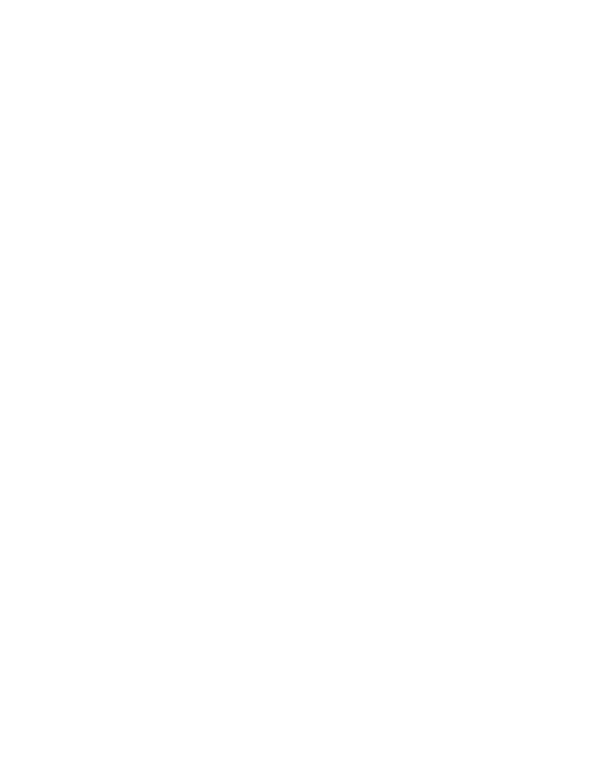# APPA | August 26-30, 2022 | SHOW CODE: 2208003 **EXHIBITOR APPOINTED CONTRACTORS (EAC) GUIDELINES**

#### **\*Please complete and return both EAC forms\***

Viper Tradeshow Services, acting on behalf of all exhibitors and in the best interest of the exposition, has appointed Official Service Contractors to perform and provide necessary services and equipment.

Official Service Contractors are appointed to: ensure the orderly and efficient installation and removal of the overall exposition, assure the distribution of labor to all exhibitors according to need, provide sufficient labor to satisfy the requirements of the exhibitors, and for the exposition itself, see that proper type and limits of insurance are in force, and avoid any conflict with local union and/or exhibit hall regulations and requirements.

The Official Service Contractors will provide all usual trade show services, including labor. Exceptions are: the exhibitor may provide supervision; exhibitor may appoint an exhibit installation contractor or display builder.

#### **Exhibitors may employ the service of independent contractors to install and dismantle their display, providing the exhibitor and the installation and dismantling contractor comply with the following requirements:**

- 1. Exhibitor must notify in writing to Viper Tradeshow Services the intention to utilize an independent contractor (EAC) no later than 14 days prior to the first move-in day, furnishing the name, address and telephone number of the firm.
- 2. Exhibitor shall provide evidence that the EAC has a proper certificate of insurance with a minimum of \$1,000,000 liability coverage, including property damage and Workers' Compensation naming Viper Tradeshow Services as additionally insured, to show managers and Viper Tradeshow Services at least 10 days before the show opening.
- 3. Exhibitor agrees that they are ultimately responsible for all services in connection with their exhibit, including freight, drayage, rentals and labor.
- 4. The EAC must have all business licenses, permits and Workers' Compensation insurance required by the state and city governments and the convention facility management prior to commencing work, and shall provide Show Management with evidence of compliance.
- 5. The EAC will provide Viper Tradeshow Services the number of on-site employees at the time of check-in and see that they have, and wear at all times necessary, identification badges as determined by Show Management.
- 6. The EAC shall be prepared to show evidence that it has valid authorization from the exhibitor for services. The EAC may not solicit business on the exhibit floor.
- 7. The EAC must confine its operations to the exhibit area of its clients. No service desk, storage areas or other work facilities will be located anywhere in the building. The show aisles and public spaces are not a part of the exhibitor's booth space.
- 8. The EAC shall provide, if requested, evidence to Viper Tradeshow Services that it possesses applicable and current labor contracts and must comply with all labor agreements and practices. The EAC must not commit or allow to be committed by persons in its employment any acts that could lead to work stoppages, strikes or labor problems.
- 9. The exposition floor, aisles, loading docks, service and storage areas will be under the control of the official service contractor, Viper Tradeshow Services. The exhibitor appointed contractor must coordinate all of its activities with Viper Tradeshow Services.
- 10. For services such as electrical, plumbing, telephone, cleaning and drayage, no contractor other than the official service contractor will be approved. This regulation is necessary because of licensing, insurance and work done on equipment and facilities owned by parties other than the exhibitor. Exhibitors shall provide only the material and equipment they own and is to be used in their exhibit space.

**I have read the Exhibitor Appointed Contractors section of this manual and understand the terms and conditions. I understand that all the contractors listed above must be approved by Viper Tradeshow Services. I understand it is my responsibility to see that each representative from any EAC for my company abides by the rules and regulations of the event. I also understand that any EAC listed above that is not approved by Viper Tradeshow Services will not be permitted on the floor.**

| Name:      |       |
|------------|-------|
| Company:   | Date: |
| Signature: |       |

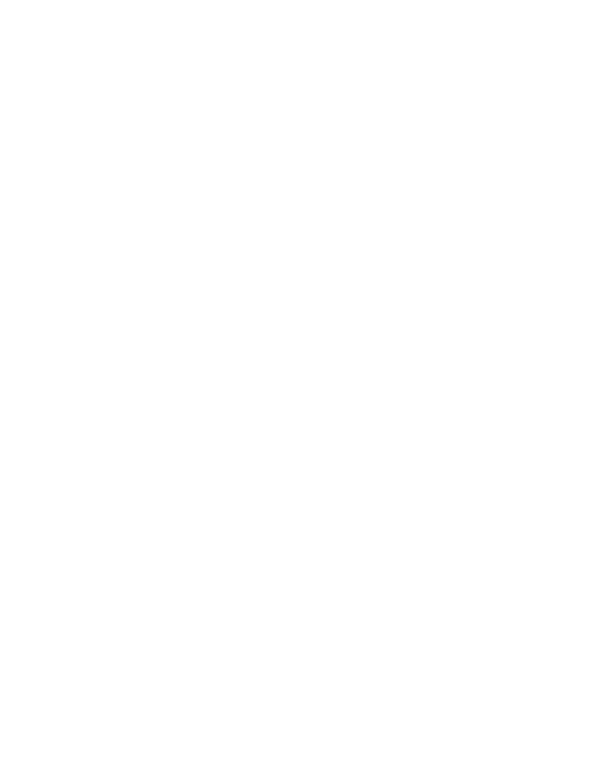## **USE OF AN EAC NOTIFICATION**

#### **\*Please complete and return both EAC forms\***

Please be sure to read the Official Services & Exhibitor Appointed Contractors (EAC) Guidelines. Exhibitors who plan to have an EAC unpack, install, assemble, dismantle and pack displays, equipment or materials must provide this form to Viper Tradeshow Services no later than 14 days before the start of the move-in and see that their EAC adheres to the guidelines outlined on the previous page.

| <b>Notification of EAC:</b>                 | To be received no later than 14 days in advance |  |          |
|---------------------------------------------|-------------------------------------------------|--|----------|
| For Exhibitor (Company Name):               |                                                 |  |          |
| <b>Show Name:</b>                           | <b>APPA</b>                                     |  | Booth #: |
| Name of Service Firm (EAC):                 |                                                 |  |          |
| <b>Address:</b>                             |                                                 |  |          |
| Telephone:                                  |                                                 |  |          |
| Fax:                                        |                                                 |  |          |
| Contact:                                    |                                                 |  |          |
| Email:                                      |                                                 |  |          |
| Show Site Contact (if different from above) |                                                 |  |          |
| Cell Phone #:                               |                                                 |  |          |
| <b>EAC Instructions</b>                     |                                                 |  |          |

- 1. Refer to the Official Service & Exhibitor Appointed Contractors Guidelines form in this kit for additional requirements. \*Before submitting service order forms (including this one). Preferably before the early registration deadline.
- 2. Provide Viper Tradeshow Services the names of all exhibiting companies for whom they have orders on \*To be received no later than 10 days before move-in.
- 3. Check in at the Viper Tradeshow Services Service Desk to proceed with work on the floor \*Upon arrival at show site.

**Viper Tradeshow Services reserves the right to refuse any Non-Official Service Contractor (EAC) access to the show floor if any of the above conditions are not met. If there is a problem providing the necessary information within the deadlines, Viper Tradeshow Services must be contacted in advance of the deadline.**

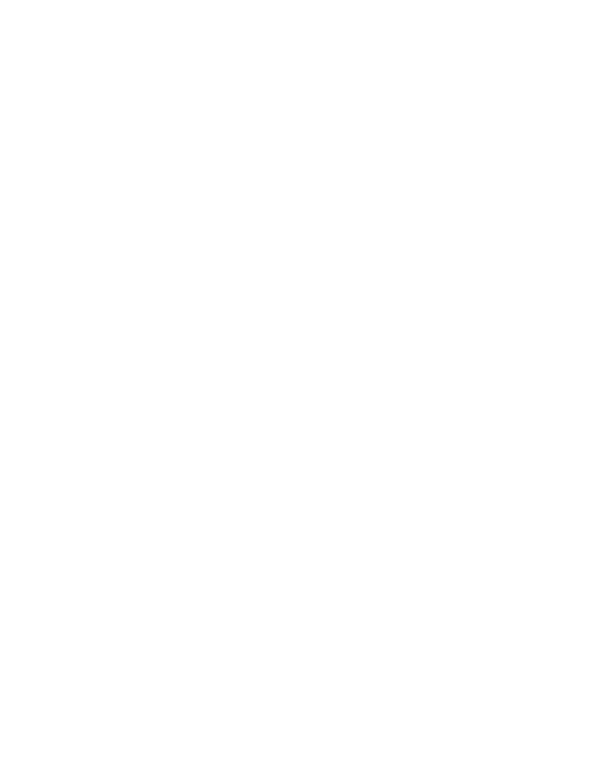## **STANDARD FURNITURE, ACCESSORIES & FLORAL**

**\*No credit will be given after close of event on items ordered but not received. Cancellation Policy: No refunds on orders cancelled after discount deadline. \***



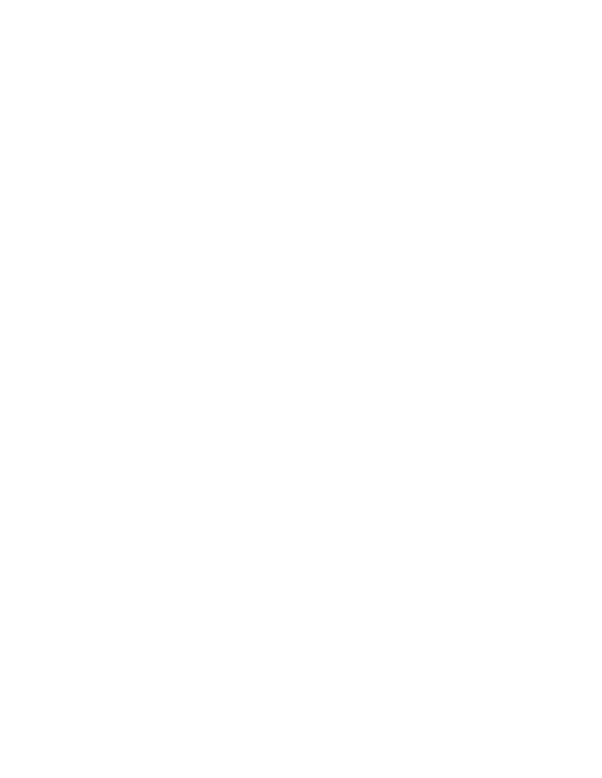# **CUSTOM FURNISHINGS**

**\*No credit will be given after close of event on items ordered but not received. Cancellation Policy: No refunds on orders cancelled after discount deadline. \***

# **Lounge Series B – Black Leather** B1: Sofa B2: Loveseat B3: Chair B5: End Table Qty: \_\_\_\_ Qty: \_\_\_\_ Qty: \_\_\_\_ Qty: \_\_\_\_ **\$884.50 Discount \$820.75 Discount \$692.00 Discount \$394.00 Discount \$1,149.50 Standard \$1,066.00 Standard \$890.00 Standard \$512.72 Standard Lounge Series C – Grey Microfiber** C1: Sofa C2: Loveseat C3: Chair C4: Cocktail Table C5: End Table Qty: \_\_\_\_ Qty: \_\_\_\_\_ Qty: \_\_\_\_ Qty: \_\_\_\_ Qty: \_\_\_\_ **\$714.00 Discount \$650.25 Discount \$586.50 Discount \$394.00 Discount \$351.00 Discount \$927.50 Standard \$845.00 Standard \$760.25 Standard \$511.50 Standard \$456.50 Standard Specialty Tables | Chairs Series D**





D1: 42" Black D2: Side Chair Qty: \_\_\_\_ Qty: \_\_\_\_ **\$480.00 Discount \$266.25 Discount \$623.75 Standard \$346.50 Standard Office Series I**



**Office Series J**



I1: Oak Desk I2: Black/Chrome Chair I3: Black/Black Chair Qty: \_\_\_\_\_ Qty: \_\_\_\_ **Qty: \_\_\_\_ Qty:** Qty: **\$714.00 Discount \$457.75 Discount \$457.75 Discount \$927.30 Standard \$596.25 Standard \$596.25 Standard**



J1: 6' Conference Table J2: Steno Chair J3: Drafting Stool Qty: \_\_\_\_ Qty: \_\_\_\_ Qty: \_\_\_\_ Qty: \_\_\_ **\$653.00 Discount \$266.25 Discount \$373.00 Discount \$788.75 Standard \$346.50 Standard \$485.25 Standard**



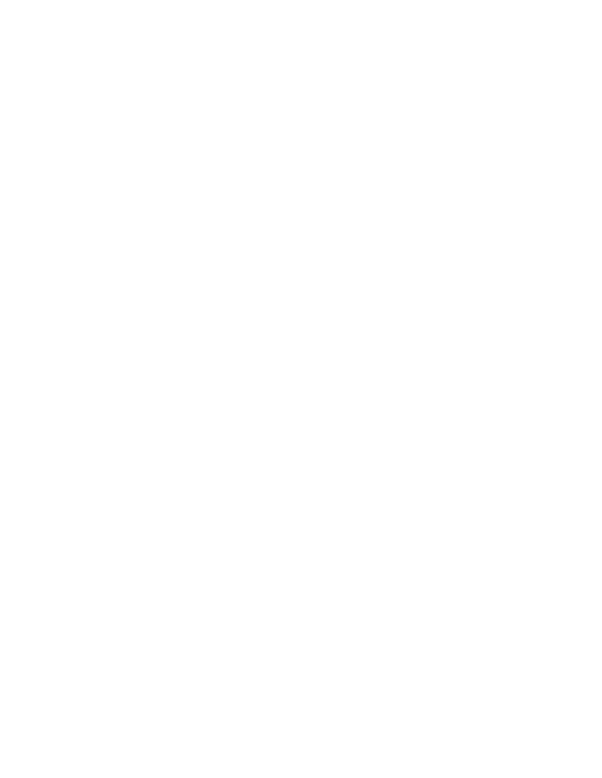# **CUSTOM FURNISHINGS**

**\*No credit will be given after close of event on items ordered but not received. Cancellation Policy: No refunds on orders cancelled after discount deadline. \***

### **Accessories Series K**

| K1: Accordion Lit Stand                  |                        | K4: Coat Rack     |      | K5: 42" Pedestal  |                   |
|------------------------------------------|------------------------|-------------------|------|-------------------|-------------------|
|                                          |                        | Qty:              | Qty: |                   |                   |
| \$267.50 Discount                        |                        | \$97.00 Discount  |      | \$373.00 Discount |                   |
| \$346.50 Standard                        |                        | \$124.50 Standard |      | \$485.25 Standard |                   |
|                                          |                        |                   |      |                   |                   |
|                                          |                        |                   |      |                   |                   |
| K6: 32" Pedestal                         | K7: 24" x 42" Pedestal | K8: Refrigerator  |      |                   |                   |
|                                          |                        | Qty:              |      |                   |                   |
| \$373.00 Discount                        | \$587.50 Discount      | \$443.50 Discount |      |                   |                   |
| \$485.25 Standard                        | \$763.50 Standard      | \$576.50 Standard |      |                   |                   |
| <b>Tables   Chairs Series L</b>          |                        |                   |      |                   |                   |
|                                          |                        |                   |      |                   |                   |
| L1: Side Chair                           | L2: 30" Table          | L3: Arm Chair     |      | L5: Side Chair    | L6: Euro Chair    |
|                                          | Qty:                   |                   |      |                   |                   |
| \$116.75 Discount                        | \$309.25 Discount      | \$138.75 Discount |      | \$266.25 Discount | \$266.25 Discount |
| \$150.75 Standard                        | \$401.50 Standard      | \$180.50 Standard |      | \$346.50 Standard | \$346.50 Standard |
| <b>Cocktail Tables   Stools Series M</b> |                        |                   |      |                   |                   |
|                                          |                        |                   |      |                   |                   |
|                                          |                        |                   |      |                   |                   |
| M1: Barstool                             | M2: 42" Bar Table      | M3: Euro Stool    |      | M4: Chrome Stool  | M5: Bar Stool     |
| Qty:                                     |                        |                   |      |                   |                   |
| \$288.25 Discount                        | \$331.25 Discount      | \$331.25 Discount |      | \$305.25 Discount | \$202.50 Discount |
| \$374.00 Standard                        | \$429.00 Standard      | \$429.00 Standard |      | \$401.50 Standard | \$263.00 Standard |
|                                          |                        |                   |      |                   |                   |
| M6: Steel/Black Stool                    | M7: Steel Stool        |                   |      |                   |                   |
|                                          |                        |                   |      |                   |                   |
| \$352.00 Discount                        | \$352.00 Discount      |                   |      |                   |                   |
| \$456.50 Standard                        | \$456.50 Standard      |                   |      |                   |                   |
| Exhibitor:                               |                        |                   |      |                   | Booth #:          |

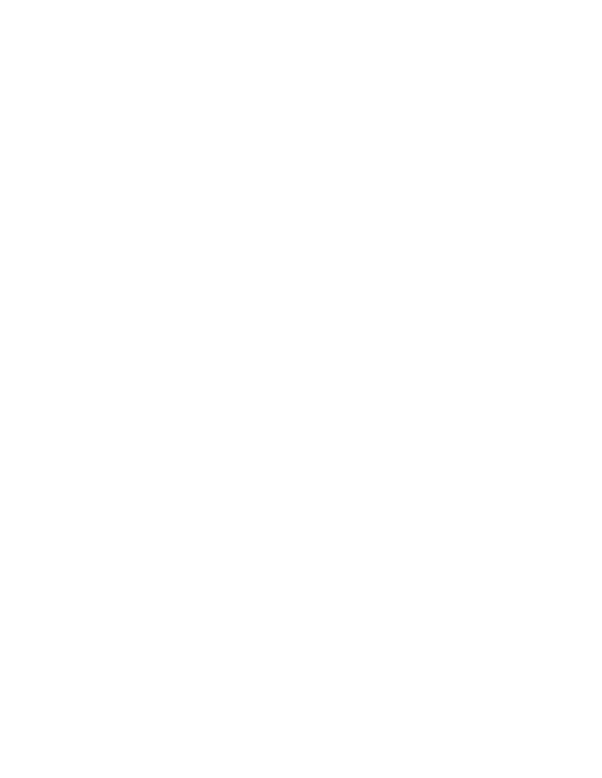# **CARPET SELECTIONS**

### **Standard**

| <b>CIRCLE COLOR SELECTION BELOW</b> |                      |                       |                       |                  |
|-------------------------------------|----------------------|-----------------------|-----------------------|------------------|
|                                     |                      |                       |                       |                  |
| Red                                 | <b>Royal Blue</b>    | Green                 | Grey                  | Navy Blue        |
| <b>Speckled Red</b>                 | <b>Speckled Blue</b> | <b>Speckled Green</b> | <b>Speckled Grey</b>  | <b>Black</b>     |
| <b>SIZE</b>                         | QTY                  | <b>DISCOUNT PRICE</b> | <b>STANDARD PRICE</b> | <b>SUB-TOTAL</b> |
| 10' x 10' Carpet                    |                      | \$325.00              | \$425.00              |                  |
| 10' x 20 Carpet                     |                      | \$650.00              | \$850.00              |                  |
| 10' x 30' Carpet                    |                      | \$975.00              | \$1,275.00            |                  |
| 10' x 40' Carpet                    |                      | \$1,300.00            | \$1,700.00            |                  |
| 20' x 20' Carpet                    |                      | \$1,300.00            | \$1,700.00            |                  |
| Custom Per Sq. Ft.                  |                      | \$3.25                | \$4.25                |                  |

### **Prestige**



### **Padding | Visqueen**

| <b>SIZE</b>               | <b>QTY</b> | <b>DISCOUNT PRICE</b> | <b>STANDARD PRICE</b> | <b>SUB-TOTAL</b> |
|---------------------------|------------|-----------------------|-----------------------|------------------|
| 1/2" Padding Per Sq. Ft.  |            | \$4.00                | \$4.75                |                  |
| Double Padding Per Sq. Ft |            | \$6.75                | \$7.50                |                  |
| Visqueen Per Sq. Ft.      |            | \$0.75                | \$1.50                |                  |

| <b>ESTIMATED TOTAL</b>                                                                     |  |
|--------------------------------------------------------------------------------------------|--|
| Standard Carpet per sq. ft.:<br>Plush Carpet per sq. ft.:<br>Padding/Visqueen per sq. ft.: |  |